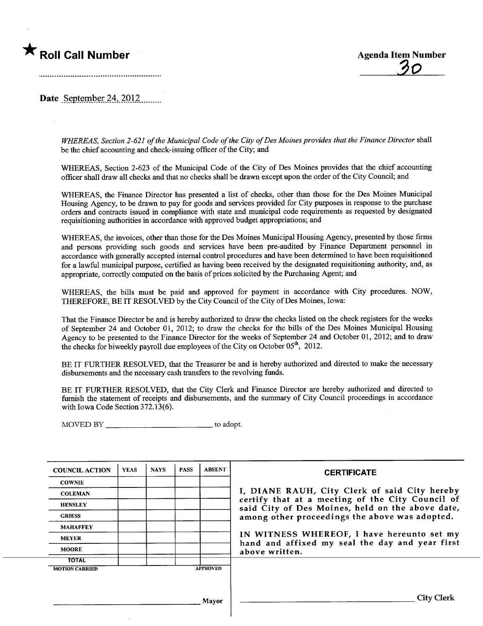



Date September 24,  $2012$ 

WHEREAS, Section 2-621 of the Municipal Code of the City of Des Moines provides that the Finance Director shall be the chief accounting and check-issuing officer of the City; and

WHEREAS, Section 2-623 of the Municipal Code of the City of Des Moines provides that the chief accounting officer shall draw all checks and that no checks shall be drawn except upon the order of the City Council; and

WHEREAS, the Finance Director has presented a list of checks, other than those for the Des Moines Muncipal Housing Agency, to be drawn to pay for goods and services provided for City puroses in response to the purchase orders and contracts issued in compliance with state and muncipal code requirements as requested by designated requisitioning authorities in accordance with approved budget appropriations; and

WHEREAS, the invoices, other than those for the Des Moines Muncipal Housing Agency, presented by those firms and persons providing such goods and services have been pre-audited by Finance Department personnel in accordance with generally accepted internal control procedures and have been determined to have been requisitioned for a lawful municipal purpose, certified as having been received by the designated requisitioning authority, and, as appropriate, correctly computed on the basis of prices solicited by the Purchasing Agent; and

WHEREAS, the bils must be paid and approved for payment in accordance with City procedures. NOW, THEREFORE, BE IT RESOLVED by the City Council of the City of Des Moines, Iowa:

That the Finance Director be and is hereby authorized to draw the checks listed on the check registers for the weeks of September 24 and October 01, 2012; to draw the checks for the bils of the Des Moines Municipal Housing Agency to be presented to the Finance Director for the weeks of September 24 and October 01, 2012; and to draw the checks for biweekly payroll due employees of the City on October 05<sup>th</sup>, 2012.

BE IT FURTHER RESOLVED, that the Treasurer be and is hereby authorized and directed to make the necessary disbursements and the necessary cash transfers to the revolving fuds.

BE IT FURTHER RESOLVED, that the City Clerk and Finance Director are hereby authorized and directed to furnish the statement of receipts and disbursements, and the summary of City Council proceedings in accordance with Iowa Code Section 372.13(6).

MOVED BY \_\_\_\_\_\_\_\_\_\_\_\_\_\_\_\_\_\_\_\_\_\_\_\_\_\_\_\_\_\_\_\_\_\_ to adopt.

| <b>COUNCIL ACTION</b> | <b>YEAS</b> | <b>NAYS</b> | <b>PASS</b> | <b>ABSENT</b>   | <b>CERTIFICATE</b>                                                                                   |
|-----------------------|-------------|-------------|-------------|-----------------|------------------------------------------------------------------------------------------------------|
| <b>COWNIE</b>         |             |             |             |                 |                                                                                                      |
| <b>COLEMAN</b>        |             |             |             |                 | I, DIANE RAUH, City Clerk of said City hereby                                                        |
| <b>HENSLEY</b>        |             |             |             |                 | certify that at a meeting of the City Council of<br>said City of Des Moines, held on the above date, |
| <b>GRIESS</b>         |             |             |             |                 | among other proceedings the above was adopted.                                                       |
| <b>MAHAFFEY</b>       |             |             |             |                 |                                                                                                      |
| <b>MEYER</b>          |             |             |             |                 | IN WITNESS WHEREOF, I have hereunto set my<br>hand and affixed my seal the day and year first        |
| <b>MOORE</b>          |             |             |             |                 | above written.                                                                                       |
| <b>TOTAL</b>          |             |             |             |                 |                                                                                                      |
| <b>MOTION CARRIED</b> |             |             |             | <b>APPROVED</b> |                                                                                                      |
|                       |             |             |             |                 |                                                                                                      |
|                       |             |             |             | Mayor           | <b>City Clerk</b>                                                                                    |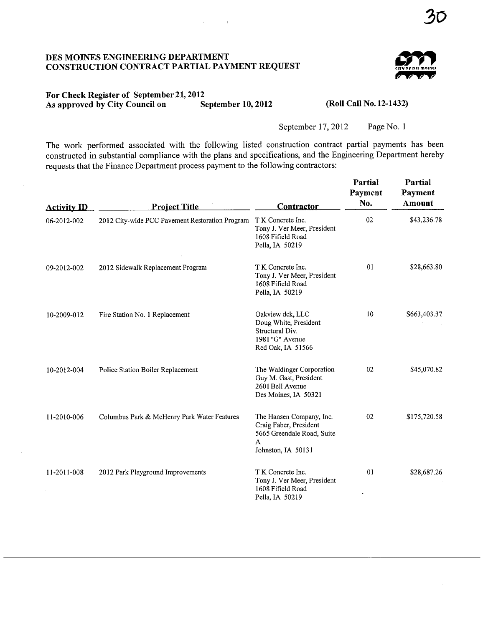#### DES MOINES ENGINEERING DEPARTMENT CONSTRUCTION CONTRACT PARTIAL PAYMENT REQUEST



### For Check Register of September 21, 2012<br>As approved by City Council on September 10, 2012 As approved by City Council on

(Roll Call No. 12-1432)

September 17, 2012 Page No. 1

The work performed associated with the following listed construction contract partial payments has been constructed in substantial compliance with the plans and specifications, and the Engineering Department hereby requests that the Finance Department process payment to the following contractors:

| <b>Activity ID</b> | <b>Project Title</b>                            | <b>Contractor</b>                                                                                           | Partial<br>Payment<br>No. | Partial<br>Payment<br>Amount |
|--------------------|-------------------------------------------------|-------------------------------------------------------------------------------------------------------------|---------------------------|------------------------------|
| 06-2012-002        | 2012 City-wide PCC Pavement Restoration Program | T K Concrete Inc.<br>Tony J. Ver Meer, President<br>1608 Fifield Road<br>Pella, IA 50219                    | 02                        | \$43,236.78                  |
| 09-2012-002        | 2012 Sidewalk Replacement Program               | T K Concrete Inc.<br>Tony J. Ver Meer, President<br>1608 Fifield Road<br>Pella, IA 50219                    | 01                        | \$28,663.80                  |
| 10-2009-012        | Fire Station No. 1 Replacement                  | Oakview dck, LLC<br>Doug White, President<br>Structural Div.<br>1981 "G" Avenue<br>Red Oak, IA 51566        | 10                        | \$663,403.37                 |
| 10-2012-004        | Police Station Boiler Replacement               | The Waldinger Corporation<br>Guy M. Gast, President<br>2601 Bell Avenue<br>Des Moines, IA 50321             | 02                        | \$45,070.82                  |
| 11-2010-006        | Columbus Park & McHenry Park Water Features     | The Hansen Company, Inc.<br>Craig Faber, President<br>5665 Greendale Road, Suite<br>A<br>Johnston, IA 50131 | 02                        | \$175,720.58                 |
| 11-2011-008        | 2012 Park Playground Improvements               | T K Concrete Inc.<br>Tony J. Ver Meer, President<br>1608 Fifield Road<br>Pella, IA 50219                    | 01                        | \$28,687.26                  |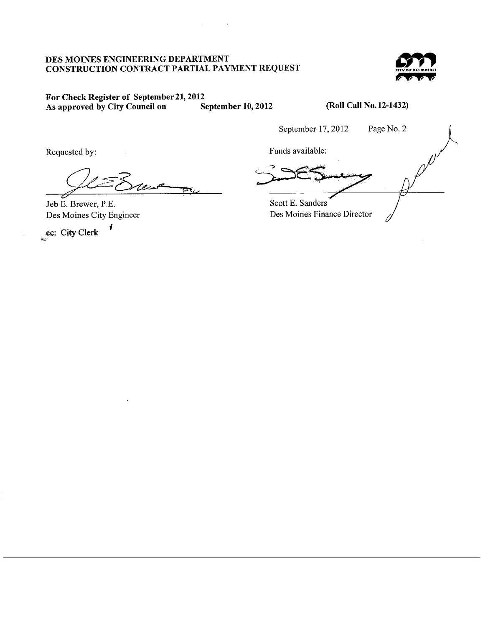#### DES MOINES ENGINEERING DEPARTMENT CONSTRUCTION CONTRACT PARTIAL PAYMENT REQUEST

 $\mathbf{r} = \mathbf{r}$ 

 $\sim$   $^{-1}$ 



#### For Check Register of September 21, 2012<br>As approved by City Council on September 10, 2012 As approved by City Council on

(Roll Call No. 12-1432)

September 17,2012 Page No.2

uested by:<br>
Containing the containing of the contact of the contact of the contact of the contact of the contact of the contact of the contact of the contact of the contact of the contact of the contact of the contact of t <u>جي</u>

Jeb E. Brewer, P.E. Des Moines City Engineer

¡ ec: City Clerk

Requested by: Funds available: Scott E. Sanders "

Des Moines Finance Director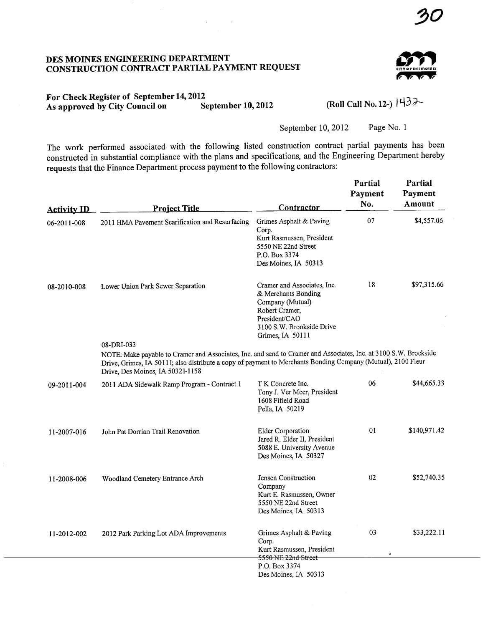# DES MOINS ENGINEERIG DEPARTMENT CONSTRUCTION CONTRACT PARTIAL PAYMENT REQUEST



### For Check Register of September 14, 2012<br>As approved by City Council on September 10, 2012 As approved by City Council on

(Roll Call No. 12-)  $|43\rangle$ 

September 10, 2012 Page No. 1

The work performed associated with the following listed construction contract partial payments has been constructed in substantial compliance with the plans and specifications, and the Engineering Department hereby requests that the Finance Department process payment to the following contractors:

| <b>Activity ID</b> | <b>Project Title</b>                                                                                                                                                                                                                                                               | Contractor                                                                                                                                                 | Partial<br>Payment<br>No. | Partial<br>Payment<br>Amount |  |  |  |  |  |
|--------------------|------------------------------------------------------------------------------------------------------------------------------------------------------------------------------------------------------------------------------------------------------------------------------------|------------------------------------------------------------------------------------------------------------------------------------------------------------|---------------------------|------------------------------|--|--|--|--|--|
| 06-2011-008        | 2011 HMA Pavement Scarification and Resurfacing                                                                                                                                                                                                                                    | Grimes Asphalt & Paving<br>Corp.<br>Kurt Rasmussen, President<br>5550 NE 22nd Street<br>P.O. Box 3374<br>Des Moines, IA 50313                              | 07                        | \$4,557.06                   |  |  |  |  |  |
| 08-2010-008        | Lower Union Park Sewer Separation                                                                                                                                                                                                                                                  | Cramer and Associates, Inc.<br>& Merchants Bonding<br>Company (Mutual)<br>Robert Cramer,<br>President/CAO<br>3100 S.W. Brookside Drive<br>Grimes, IA 50111 | 18                        | \$97,315.66                  |  |  |  |  |  |
|                    | 08-DRI-033<br>NOTE: Make payable to Cramer and Associates, Inc. and send to Cramer and Associates, Inc. at 3100 S.W. Brockside<br>Drive, Grimes, IA 50111; also distribute a copy of payment to Merchants Bonding Company (Mutual), 2100 Fleur<br>Drive, Des Moines, IA 50321-1158 |                                                                                                                                                            |                           |                              |  |  |  |  |  |
| 09-2011-004        | 2011 ADA Sidewalk Ramp Program - Contract 1                                                                                                                                                                                                                                        | T K Concrete Inc.<br>Tony J. Ver Meer, President<br>1608 Fifield Road<br>Pella, IA 50219                                                                   | 06                        | \$44,665.33                  |  |  |  |  |  |
| 11-2007-016        | John Pat Dorrian Trail Renovation                                                                                                                                                                                                                                                  | <b>Elder Corporation</b><br>Jared R. Elder II, President<br>5088 E. University Avenue<br>Des Moines, IA 50327                                              | 01                        | \$140,971.42                 |  |  |  |  |  |
| 11-2008-006        | Woodland Cemetery Entrance Arch                                                                                                                                                                                                                                                    | Jensen Construction<br>Company<br>Kurt E. Rasmussen, Owner<br>5550 NE 22nd Street<br>Des Moines, IA 50313                                                  | 02                        | \$52,740.35                  |  |  |  |  |  |
| 11-2012-002        | 2012 Park Parking Lot ADA Improvements                                                                                                                                                                                                                                             | Grimes Asphalt & Paving<br>Corp.<br>Kurt Rasmussen, President<br>5550 NE 22nd Street                                                                       | 03                        | \$33,222.11                  |  |  |  |  |  |
|                    |                                                                                                                                                                                                                                                                                    | P.O. Box 3374<br>Des Moines, IA 50313                                                                                                                      |                           |                              |  |  |  |  |  |